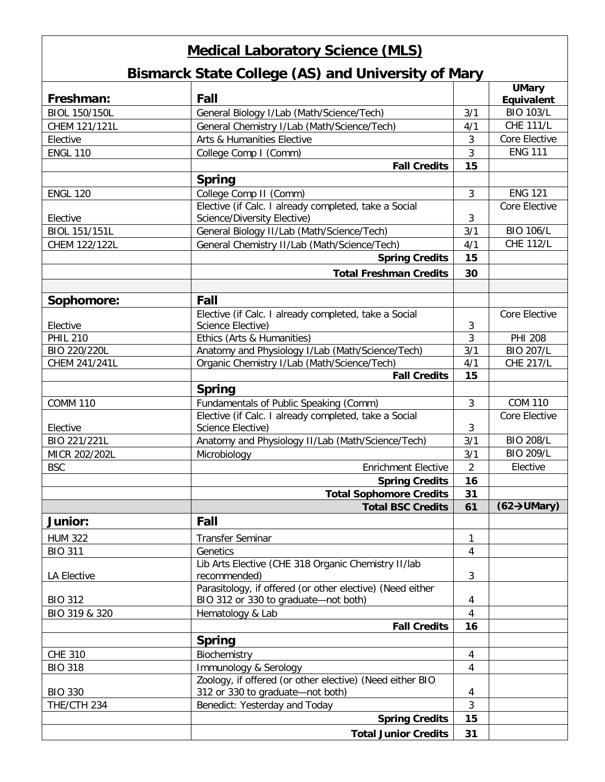## **Medical Laboratory Science (MLS)**

## **Bismarck State College (AS) and University of Mary**

| Freshman:            | Fall                                                                                 |                | <b>UMary</b>             |
|----------------------|--------------------------------------------------------------------------------------|----------------|--------------------------|
|                      |                                                                                      |                | Equivalent               |
| <b>BIOL 150/150L</b> | General Biology I/Lab (Math/Science/Tech)                                            | 3/1            | <b>BIO 103/L</b>         |
| CHEM 121/121L        | General Chemistry I/Lab (Math/Science/Tech)                                          | 4/1            | <b>CHE 111/L</b>         |
| Elective             | Arts & Humanities Elective                                                           | 3              | Core Elective            |
| <b>ENGL 110</b>      | College Comp I (Comm)                                                                | 3              | <b>ENG 111</b>           |
|                      | <b>Fall Credits</b>                                                                  | 15             |                          |
|                      | <b>Spring</b>                                                                        |                |                          |
| <b>ENGL 120</b>      | College Comp II (Comm)                                                               | 3              | <b>ENG 121</b>           |
| Elective             | Elective (if Calc. I already completed, take a Social<br>Science/Diversity Elective) | 3              | Core Elective            |
| BIOL 151/151L        | General Biology II/Lab (Math/Science/Tech)                                           | 3/1            | <b>BIO 106/L</b>         |
| CHEM 122/122L        | General Chemistry II/Lab (Math/Science/Tech)                                         | 4/1            | <b>CHE 112/L</b>         |
|                      | <b>Spring Credits</b>                                                                | 15             |                          |
|                      |                                                                                      |                |                          |
|                      | <b>Total Freshman Credits</b>                                                        | 30             |                          |
|                      |                                                                                      |                |                          |
| Sophomore:           | Fall                                                                                 |                |                          |
|                      | Elective (if Calc. I already completed, take a Social                                |                | Core Elective            |
| Elective             | Science Elective)                                                                    | 3              |                          |
| <b>PHIL 210</b>      | Ethics (Arts & Humanities)                                                           | $\overline{3}$ | <b>PHI 208</b>           |
| BIO 220/220L         | Anatomy and Physiology I/Lab (Math/Science/Tech)                                     | 3/1            | <b>BIO 207/L</b>         |
| CHEM 241/241L        | Organic Chemistry I/Lab (Math/Science/Tech)                                          | 4/1            | <b>CHE 217/L</b>         |
|                      | <b>Fall Credits</b>                                                                  | 15             |                          |
|                      | <b>Spring</b>                                                                        |                |                          |
| <b>COMM 110</b>      | Fundamentals of Public Speaking (Comm)                                               | $\mathfrak{Z}$ | <b>COM 110</b>           |
| Elective             | Elective (if Calc. I already completed, take a Social<br>Science Elective)           | 3              | Core Elective            |
| BIO 221/221L         | Anatomy and Physiology II/Lab (Math/Science/Tech)                                    | 3/1            | <b>BIO 208/L</b>         |
| MICR 202/202L        | Microbiology                                                                         | 3/1            | <b>BIO 209/L</b>         |
|                      | <b>Enrichment Elective</b>                                                           | $\overline{2}$ | Elective                 |
| <b>BSC</b>           |                                                                                      |                |                          |
|                      | <b>Spring Credits</b>                                                                | 16             |                          |
|                      | <b>Total Sophomore Credits</b>                                                       | 31             |                          |
|                      | <b>Total BSC Credits</b>                                                             | 61             | $(62 \rightarrow$ UMary) |
| Junior:              | Fall                                                                                 |                |                          |
| <b>HUM 322</b>       | <b>Transfer Seminar</b>                                                              | 1              |                          |
| <b>BIO 311</b>       | Genetics                                                                             | 4              |                          |
|                      | Lib Arts Elective (CHE 318 Organic Chemistry II/lab                                  |                |                          |
| <b>LA Elective</b>   | recommended)                                                                         | 3              |                          |
|                      | Parasitology, if offered (or other elective) (Need either                            |                |                          |
| <b>BIO 312</b>       | BIO 312 or 330 to graduate-not both)                                                 | 4              |                          |
| BIO 319 & 320        | Hematology & Lab                                                                     | 4              |                          |
|                      | <b>Fall Credits</b>                                                                  | 16             |                          |
|                      | <b>Spring</b>                                                                        |                |                          |
| <b>CHE 310</b>       | Biochemistry                                                                         | 4              |                          |
| <b>BIO 318</b>       | Immunology & Serology                                                                | 4              |                          |
|                      | Zoology, if offered (or other elective) (Need either BIO                             |                |                          |
| <b>BIO 330</b>       | 312 or 330 to graduate-not both)                                                     | 4              |                          |
| THE/CTH 234          | Benedict: Yesterday and Today                                                        | 3              |                          |
|                      | <b>Spring Credits</b>                                                                | 15             |                          |
|                      | <b>Total Junior Credits</b>                                                          | 31             |                          |